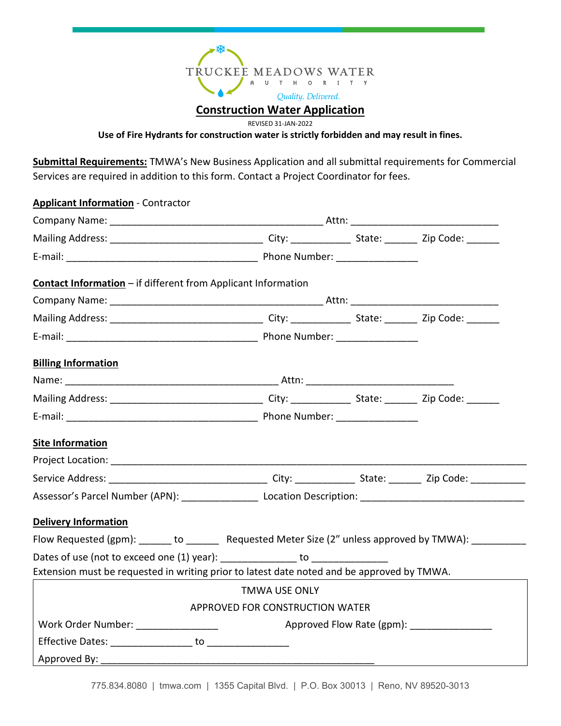

REVISED 31-JAN-2022

**Use of Fire Hydrants for construction water is strictly forbidden and may result in fines.**

**Submittal Requirements:** TMWA's New Business Application and all submittal requirements for Commercial Services are required in addition to this form. Contact a Project Coordinator for fees.

| <b>Applicant Information</b> - Contractor                                                           |                                 |                           |  |  |  |
|-----------------------------------------------------------------------------------------------------|---------------------------------|---------------------------|--|--|--|
|                                                                                                     |                                 |                           |  |  |  |
|                                                                                                     |                                 |                           |  |  |  |
|                                                                                                     |                                 |                           |  |  |  |
| Contact Information - if different from Applicant Information                                       |                                 |                           |  |  |  |
|                                                                                                     |                                 |                           |  |  |  |
|                                                                                                     |                                 |                           |  |  |  |
|                                                                                                     |                                 |                           |  |  |  |
| <b>Billing Information</b>                                                                          |                                 |                           |  |  |  |
|                                                                                                     |                                 |                           |  |  |  |
|                                                                                                     |                                 |                           |  |  |  |
|                                                                                                     |                                 |                           |  |  |  |
| <b>Site Information</b>                                                                             |                                 |                           |  |  |  |
|                                                                                                     |                                 |                           |  |  |  |
|                                                                                                     |                                 |                           |  |  |  |
|                                                                                                     |                                 |                           |  |  |  |
| <b>Delivery Information</b>                                                                         |                                 |                           |  |  |  |
| Flow Requested (gpm): ______ to _______ Requested Meter Size (2" unless approved by TMWA): ________ |                                 |                           |  |  |  |
| Dates of use (not to exceed one (1) year): ______________ to ___________________                    |                                 |                           |  |  |  |
| Extension must be requested in writing prior to latest date noted and be approved by TMWA.          |                                 |                           |  |  |  |
|                                                                                                     | <b>TMWA USE ONLY</b>            |                           |  |  |  |
|                                                                                                     | APPROVED FOR CONSTRUCTION WATER |                           |  |  |  |
| Work Order Number: _______________                                                                  |                                 | Approved Flow Rate (gpm): |  |  |  |
|                                                                                                     |                                 |                           |  |  |  |
|                                                                                                     |                                 |                           |  |  |  |